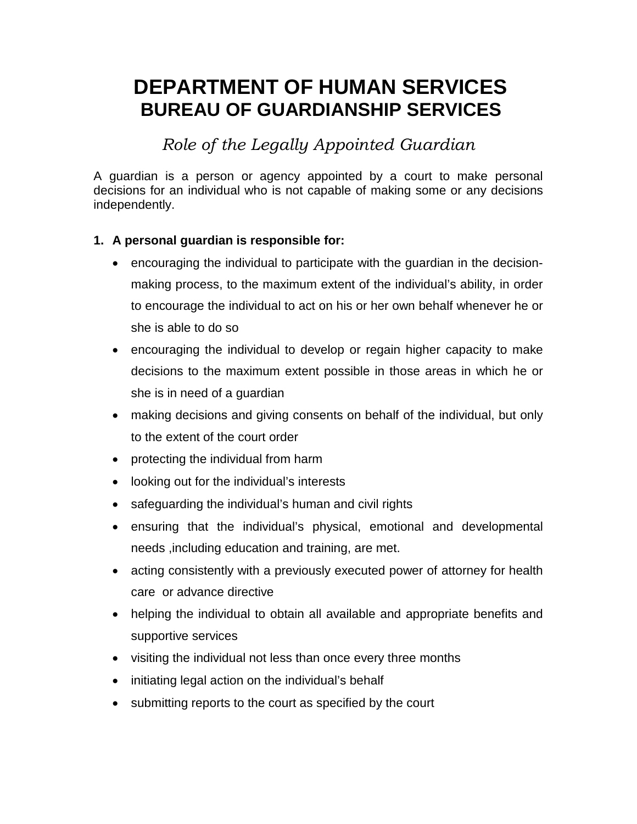# **DEPARTMENT OF HUMAN SERVICES BUREAU OF GUARDIANSHIP SERVICES**

*Role of the Legally Appointed Guardian*

A guardian is a person or agency appointed by a court to make personal decisions for an individual who is not capable of making some or any decisions independently.

# **1. A personal guardian is responsible for:**

- encouraging the individual to participate with the guardian in the decisionmaking process, to the maximum extent of the individual's ability, in order to encourage the individual to act on his or her own behalf whenever he or she is able to do so
- encouraging the individual to develop or regain higher capacity to make decisions to the maximum extent possible in those areas in which he or she is in need of a guardian
- making decisions and giving consents on behalf of the individual, but only to the extent of the court order
- protecting the individual from harm
- looking out for the individual's interests
- safeguarding the individual's human and civil rights
- ensuring that the individual's physical, emotional and developmental needs ,including education and training, are met.
- acting consistently with a previously executed power of attorney for health care or advance directive
- helping the individual to obtain all available and appropriate benefits and supportive services
- visiting the individual not less than once every three months
- initiating legal action on the individual's behalf
- submitting reports to the court as specified by the court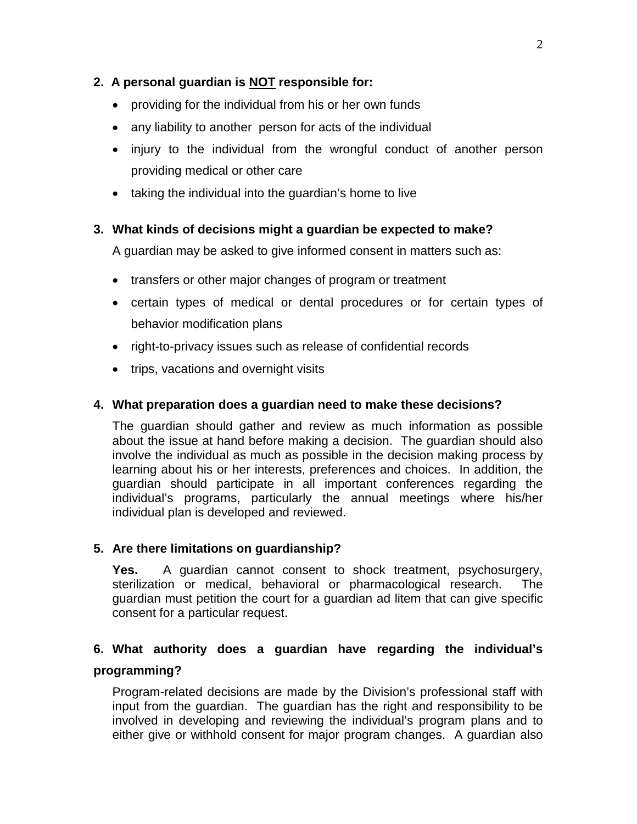# **2. A personal guardian is NOT responsible for:**

- providing for the individual from his or her own funds
- any liability to another person for acts of the individual
- injury to the individual from the wrongful conduct of another person providing medical or other care
- taking the individual into the guardian's home to live

# **3. What kinds of decisions might a guardian be expected to make?**

A guardian may be asked to give informed consent in matters such as:

- transfers or other major changes of program or treatment
- certain types of medical or dental procedures or for certain types of behavior modification plans
- right-to-privacy issues such as release of confidential records
- trips, vacations and overnight visits

### **4. What preparation does a guardian need to make these decisions?**

The guardian should gather and review as much information as possible about the issue at hand before making a decision. The guardian should also involve the individual as much as possible in the decision making process by learning about his or her interests, preferences and choices. In addition, the guardian should participate in all important conferences regarding the individual's programs, particularly the annual meetings where his/her individual plan is developed and reviewed.

### **5. Are there limitations on guardianship?**

**Yes.** A guardian cannot consent to shock treatment, psychosurgery, sterilization or medical. behavioral or pharmacological research. The sterilization or medical, behavioral or pharmacological research. guardian must petition the court for a guardian ad litem that can give specific consent for a particular request.

# **6. What authority does a guardian have regarding the individual's programming?**

### Program-related decisions are made by the Division's professional staff with input from the guardian. The guardian has the right and responsibility to be involved in developing and reviewing the individual's program plans and to either give or withhold consent for major program changes. A guardian also